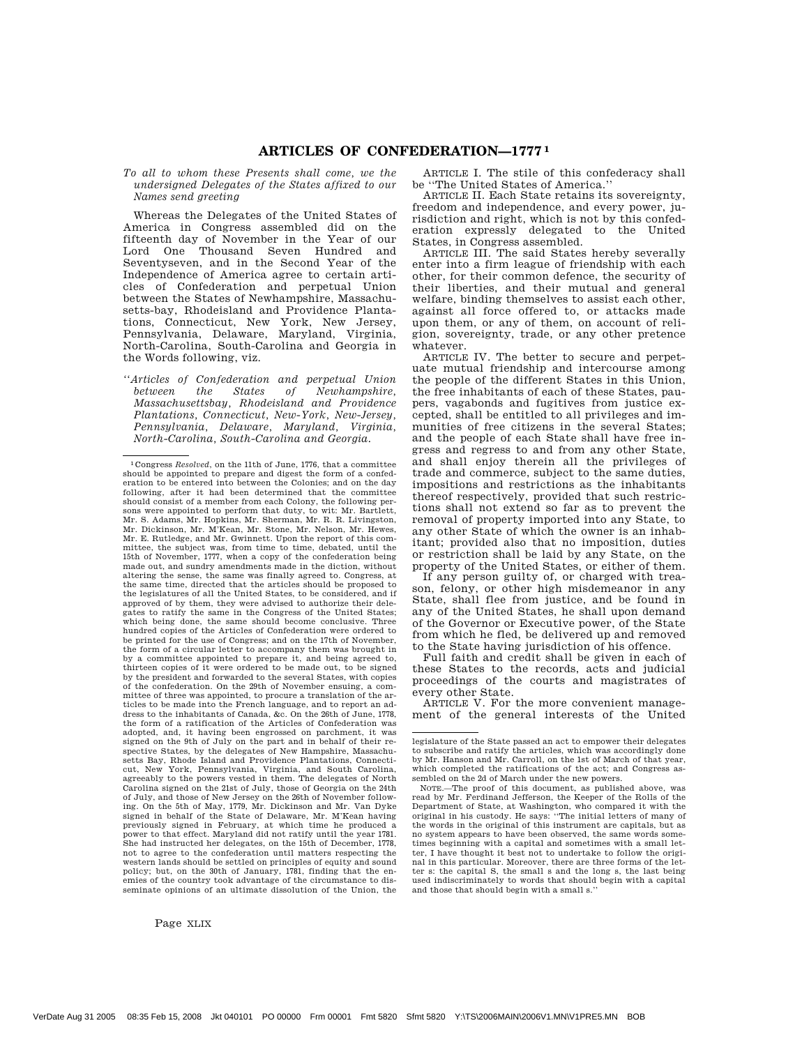*To all to whom these Presents shall come, we the undersigned Delegates of the States affixed to our Names send greeting*

Whereas the Delegates of the United States of America in Congress assembled did on the fifteenth day of November in the Year of our Lord One Thousand Seven Hundred and Seventyseven, and in the Second Year of the Independence of America agree to certain articles of Confederation and perpetual Union between the States of Newhampshire, Massachusetts-bay, Rhodeisland and Providence Plantations, Connecticut, New York, New Jersey, Pennsylvania, Delaware, Maryland, Virginia, North-Carolina, South-Carolina and Georgia in the Words following, viz.

*''Articles of Confederation and perpetual Union between the States of Newhampshire, Massachusettsbay, Rhodeisland and Providence Plantations, Connecticut, New-York, New-Jersey, Pennsylvania, Delaware, Maryland, Virginia, North-Carolina, South-Carolina and Georgia.*

Page XLIX

ARTICLE I. The stile of this confederacy shall be ''The United States of America.''

ARTICLE II. Each State retains its sovereignty, freedom and independence, and every power, jurisdiction and right, which is not by this confederation expressly delegated to the United States, in Congress assembled.

ARTICLE III. The said States hereby severally enter into a firm league of friendship with each other, for their common defence, the security of their liberties, and their mutual and general welfare, binding themselves to assist each other, against all force offered to, or attacks made upon them, or any of them, on account of religion, sovereignty, trade, or any other pretence whatever.

ARTICLE IV. The better to secure and perpetuate mutual friendship and intercourse among the people of the different States in this Union, the free inhabitants of each of these States, paupers, vagabonds and fugitives from justice excepted, shall be entitled to all privileges and immunities of free citizens in the several States; and the people of each State shall have free ingress and regress to and from any other State, and shall enjoy therein all the privileges of trade and commerce, subject to the same duties, impositions and restrictions as the inhabitants thereof respectively, provided that such restrictions shall not extend so far as to prevent the removal of property imported into any State, to any other State of which the owner is an inhabitant; provided also that no imposition, duties or restriction shall be laid by any State, on the property of the United States, or either of them.

If any person guilty of, or charged with treason, felony, or other high misdemeanor in any State, shall flee from justice, and be found in any of the United States, he shall upon demand of the Governor or Executive power, of the State from which he fled, be delivered up and removed to the State having jurisdiction of his offence.

Full faith and credit shall be given in each of these States to the records, acts and judicial proceedings of the courts and magistrates of every other State.

ARTICLE V. For the more convenient management of the general interests of the United

<sup>1</sup>Congress *Resolved*, on the 11th of June, 1776, that a committee should be appointed to prepare and digest the form of a confederation to be entered into between the Colonies; and on the day following, after it had been determined that the committee should consist of a member from each Colony, the following persons were appointed to perform that duty, to wit: Mr. Bartlett, Mr. S. Adams, Mr. Hopkins, Mr. Sherman, Mr. R. R. Livingston, Mr. Dickinson, Mr. M'Kean, Mr. Stone, Mr. Nelson, Mr. Hewes, Mr. E. Rutledge, and Mr. Gwinnett. Upon the report of this com-mittee, the subject was, from time to time, debated, until the 15th of November, 1777, when a copy of the confederation being made out, and sundry amendments made in the diction, without altering the sense, the same was finally agreed to. Congress, at the same time, directed that the articles should be proposed to the legislatures of all the United States, to be considered, and if approved of by them, they were advised to authorize their delegates to ratify the same in the Congress of the United States; which being done, the same should become conclusive. Three hundred copies of the Articles of Confederation were ordered to be printed for the use of Congress; and on the 17th of November, the form of a circular letter to accompany them was brought in by a committee appointed to prepare it, and being agreed to, thirteen copies of it were ordered to be made out, to be signed by the president and forwarded to the several States, with copies of the confederation. On the 29th of November ensuing, a committee of three was appointed, to procure a translation of the articles to be made into the French language, and to report an address to the inhabitants of Canada, &c. On the 26th of June, 1778, the form of a ratification of the Articles of Confederation was adopted, and, it having been engrossed on parchment, it was signed on the 9th of July on the part and in behalf of their respective States, by the delegates of New Hampshire, Massachusetts Bay, Rhode Island and Providence Plantations, Connecticut, New York, Pennsylvania, Virginia, and South Carolina, agreeably to the powers vested in them. The delegates of North Carolina signed on the 21st of July, those of Georgia on the 24th of July, and those of New Jersey on the 26th of November follow-ing. On the 5th of May, 1779, Mr. Dickinson and Mr. Van Dyke signed in behalf of the State of Delaware, Mr. M'Kean having previously signed in February, at which time he produced a power to that effect. Maryland did not ratify until the year 1781. She had instructed her delegates, on the 15th of December, 1778, not to agree to the confederation until matters respecting the western lands should be settled on principles of equity and sound policy; but, on the 30th of January, 1781, finding that the enemies of the country took advantage of the circumstance to disseminate opinions of an ultimate dissolution of the Union, the

legislature of the State passed an act to empower their delegates to subscribe and ratify the articles, which was accordingly done by Mr. Hanson and Mr. Carroll, on the 1st of March of that year, which completed the ratifications of the act; and Congress assembled on the 2d of March under the new powers.

NOTE.—The proof of this document, as published above, was read by Mr. Ferdinand Jefferson, the Keeper of the Rolls of the Department of State, at Washington, who compared it with the original in his custody. He says: ''The initial letters of many of the words in the original of this instrument are capitals, but as no system appears to have been observed, the same words sometimes beginning with a capital and sometimes with a small letter, I have thought it best not to undertake to follow the origi-nal in this particular. Moreover, there are three forms of the letter s: the capital S, the small s and the long s, the last being used indiscriminately to words that should begin with a capital and those that should begin with a small s.''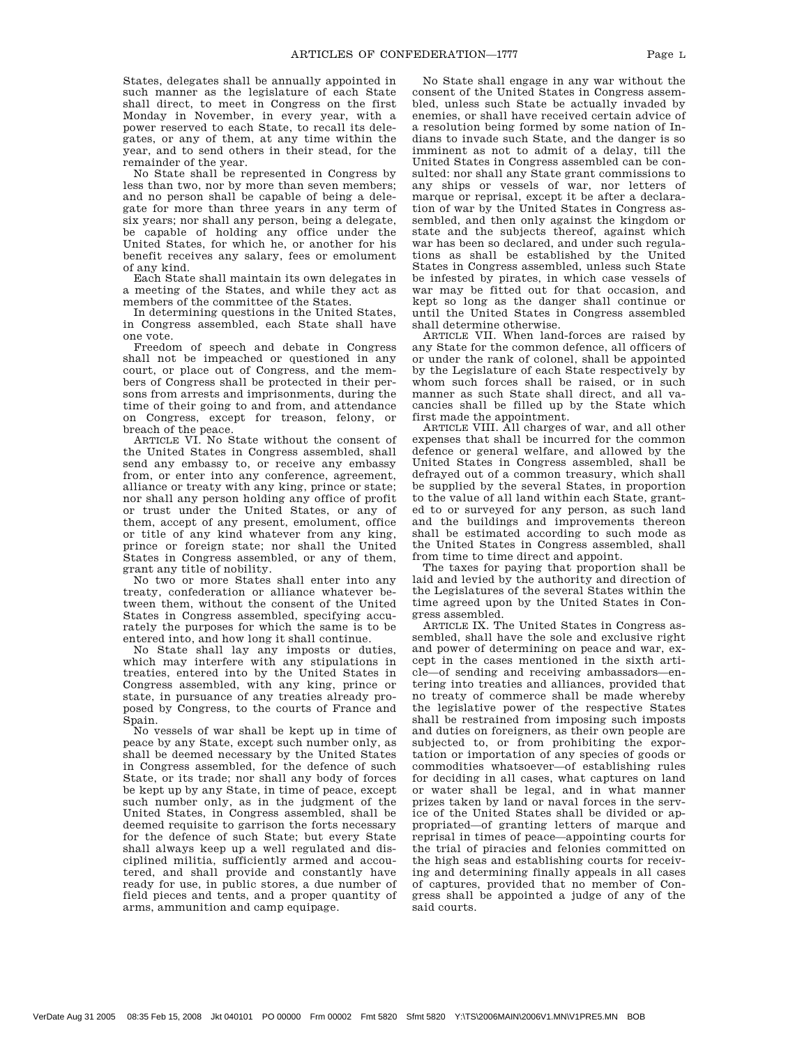States, delegates shall be annually appointed in such manner as the legislature of each State shall direct, to meet in Congress on the first Monday in November, in every year, with a power reserved to each State, to recall its delegates, or any of them, at any time within the year, and to send others in their stead, for the remainder of the year.

No State shall be represented in Congress by less than two, nor by more than seven members; and no person shall be capable of being a delegate for more than three years in any term of six years; nor shall any person, being a delegate, be capable of holding any office under the United States, for which he, or another for his benefit receives any salary, fees or emolument of any kind.

Each State shall maintain its own delegates in a meeting of the States, and while they act as members of the committee of the States.

In determining questions in the United States, in Congress assembled, each State shall have one vote.

Freedom of speech and debate in Congress shall not be impeached or questioned in any court, or place out of Congress, and the members of Congress shall be protected in their persons from arrests and imprisonments, during the time of their going to and from, and attendance on Congress, except for treason, felony, or breach of the peace.

ARTICLE VI. No State without the consent of the United States in Congress assembled, shall send any embassy to, or receive any embassy from, or enter into any conference, agreement, alliance or treaty with any king, prince or state; nor shall any person holding any office of profit or trust under the United States, or any of them, accept of any present, emolument, office or title of any kind whatever from any king, prince or foreign state; nor shall the United States in Congress assembled, or any of them, grant any title of nobility.

No two or more States shall enter into any treaty, confederation or alliance whatever between them, without the consent of the United States in Congress assembled, specifying accurately the purposes for which the same is to be entered into, and how long it shall continue.

No State shall lay any imposts or duties, which may interfere with any stipulations in treaties, entered into by the United States in Congress assembled, with any king, prince or state, in pursuance of any treaties already proposed by Congress, to the courts of France and Spain.

No vessels of war shall be kept up in time of peace by any State, except such number only, as shall be deemed necessary by the United States in Congress assembled, for the defence of such State, or its trade; nor shall any body of forces be kept up by any State, in time of peace, except such number only, as in the judgment of the United States, in Congress assembled, shall be deemed requisite to garrison the forts necessary for the defence of such State; but every State shall always keep up a well regulated and disciplined militia, sufficiently armed and accoutered, and shall provide and constantly have ready for use, in public stores, a due number of field pieces and tents, and a proper quantity of arms, ammunition and camp equipage.

No State shall engage in any war without the consent of the United States in Congress assembled, unless such State be actually invaded by enemies, or shall have received certain advice of a resolution being formed by some nation of Indians to invade such State, and the danger is so imminent as not to admit of a delay, till the United States in Congress assembled can be consulted: nor shall any State grant commissions to any ships or vessels of war, nor letters of marque or reprisal, except it be after a declaration of war by the United States in Congress assembled, and then only against the kingdom or state and the subjects thereof, against which war has been so declared, and under such regulations as shall be established by the United States in Congress assembled, unless such State be infested by pirates, in which case vessels of war may be fitted out for that occasion, and kept so long as the danger shall continue or until the United States in Congress assembled shall determine otherwise.

ARTICLE VII. When land-forces are raised by any State for the common defence, all officers of or under the rank of colonel, shall be appointed by the Legislature of each State respectively by whom such forces shall be raised, or in such manner as such State shall direct, and all vacancies shall be filled up by the State which first made the appointment.

ARTICLE VIII. All charges of war, and all other expenses that shall be incurred for the common defence or general welfare, and allowed by the United States in Congress assembled, shall be defrayed out of a common treasury, which shall be supplied by the several States, in proportion to the value of all land within each State, granted to or surveyed for any person, as such land and the buildings and improvements thereon shall be estimated according to such mode as the United States in Congress assembled, shall from time to time direct and appoint.

The taxes for paying that proportion shall be laid and levied by the authority and direction of the Legislatures of the several States within the time agreed upon by the United States in Congress assembled.

ARTICLE IX. The United States in Congress assembled, shall have the sole and exclusive right and power of determining on peace and war, except in the cases mentioned in the sixth article—of sending and receiving ambassadors—entering into treaties and alliances, provided that no treaty of commerce shall be made whereby the legislative power of the respective States shall be restrained from imposing such imposts and duties on foreigners, as their own people are subjected to, or from prohibiting the exportation or importation of any species of goods or commodities whatsoever—of establishing rules for deciding in all cases, what captures on land or water shall be legal, and in what manner prizes taken by land or naval forces in the service of the United States shall be divided or appropriated—of granting letters of marque and reprisal in times of peace—appointing courts for the trial of piracies and felonies committed on the high seas and establishing courts for receiving and determining finally appeals in all cases of captures, provided that no member of Congress shall be appointed a judge of any of the said courts.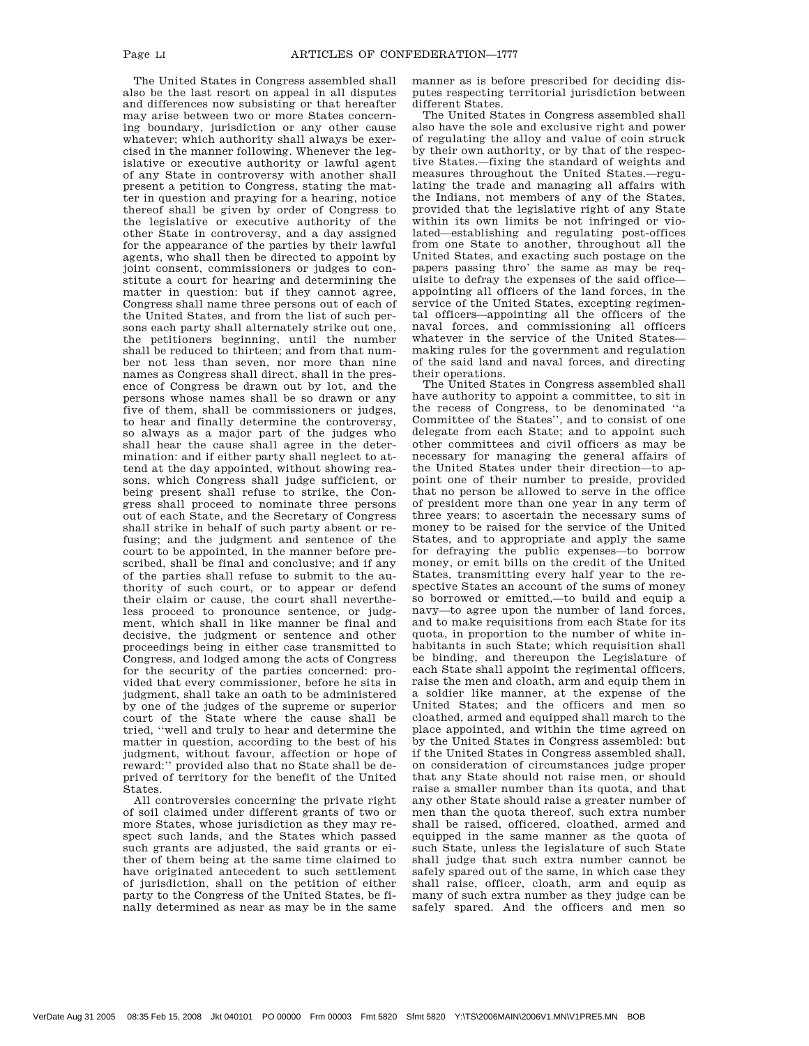The United States in Congress assembled shall also be the last resort on appeal in all disputes and differences now subsisting or that hereafter may arise between two or more States concerning boundary, jurisdiction or any other cause whatever; which authority shall always be exercised in the manner following. Whenever the legislative or executive authority or lawful agent of any State in controversy with another shall present a petition to Congress, stating the matter in question and praying for a hearing, notice thereof shall be given by order of Congress to the legislative or executive authority of the other State in controversy, and a day assigned for the appearance of the parties by their lawful agents, who shall then be directed to appoint by joint consent, commissioners or judges to constitute a court for hearing and determining the matter in question: but if they cannot agree, Congress shall name three persons out of each of the United States, and from the list of such persons each party shall alternately strike out one, the petitioners beginning, until the number shall be reduced to thirteen; and from that number not less than seven, nor more than nine names as Congress shall direct, shall in the presence of Congress be drawn out by lot, and the persons whose names shall be so drawn or any five of them, shall be commissioners or judges, to hear and finally determine the controversy, so always as a major part of the judges who shall hear the cause shall agree in the determination: and if either party shall neglect to attend at the day appointed, without showing reasons, which Congress shall judge sufficient, or being present shall refuse to strike, the Congress shall proceed to nominate three persons out of each State, and the Secretary of Congress shall strike in behalf of such party absent or refusing; and the judgment and sentence of the court to be appointed, in the manner before prescribed, shall be final and conclusive; and if any of the parties shall refuse to submit to the authority of such court, or to appear or defend their claim or cause, the court shall nevertheless proceed to pronounce sentence, or judgment, which shall in like manner be final and decisive, the judgment or sentence and other proceedings being in either case transmitted to Congress, and lodged among the acts of Congress for the security of the parties concerned: provided that every commissioner, before he sits in judgment, shall take an oath to be administered by one of the judges of the supreme or superior court of the State where the cause shall be tried, ''well and truly to hear and determine the matter in question, according to the best of his judgment, without favour, affection or hope of reward:'' provided also that no State shall be deprived of territory for the benefit of the United States.

All controversies concerning the private right of soil claimed under different grants of two or more States, whose jurisdiction as they may respect such lands, and the States which passed such grants are adjusted, the said grants or either of them being at the same time claimed to have originated antecedent to such settlement of jurisdiction, shall on the petition of either party to the Congress of the United States, be finally determined as near as may be in the same manner as is before prescribed for deciding disputes respecting territorial jurisdiction between different States.

The United States in Congress assembled shall also have the sole and exclusive right and power of regulating the alloy and value of coin struck by their own authority, or by that of the respective States.—fixing the standard of weights and measures throughout the United States.—regulating the trade and managing all affairs with the Indians, not members of any of the States, provided that the legislative right of any State within its own limits be not infringed or violated—establishing and regulating post-offices from one State to another, throughout all the United States, and exacting such postage on the papers passing thro' the same as may be requisite to defray the expenses of the said office appointing all officers of the land forces, in the service of the United States, excepting regimental officers—appointing all the officers of the naval forces, and commissioning all officers whatever in the service of the United States making rules for the government and regulation of the said land and naval forces, and directing their operations.

The United States in Congress assembled shall have authority to appoint a committee, to sit in the recess of Congress, to be denominated ''a Committee of the States'', and to consist of one delegate from each State; and to appoint such other committees and civil officers as may be necessary for managing the general affairs of the United States under their direction—to appoint one of their number to preside, provided that no person be allowed to serve in the office of president more than one year in any term of three years; to ascertain the necessary sums of money to be raised for the service of the United States, and to appropriate and apply the same for defraying the public expenses—to borrow money, or emit bills on the credit of the United States, transmitting every half year to the respective States an account of the sums of money so borrowed or emitted,—to build and equip a navy—to agree upon the number of land forces, and to make requisitions from each State for its quota, in proportion to the number of white inhabitants in such State; which requisition shall be binding, and thereupon the Legislature of each State shall appoint the regimental officers, raise the men and cloath, arm and equip them in a soldier like manner, at the expense of the United States; and the officers and men so cloathed, armed and equipped shall march to the place appointed, and within the time agreed on by the United States in Congress assembled: but if the United States in Congress assembled shall, on consideration of circumstances judge proper that any State should not raise men, or should raise a smaller number than its quota, and that any other State should raise a greater number of men than the quota thereof, such extra number shall be raised, officered, cloathed, armed and equipped in the same manner as the quota of such State, unless the legislature of such State shall judge that such extra number cannot be safely spared out of the same, in which case they shall raise, officer, cloath, arm and equip as many of such extra number as they judge can be safely spared. And the officers and men so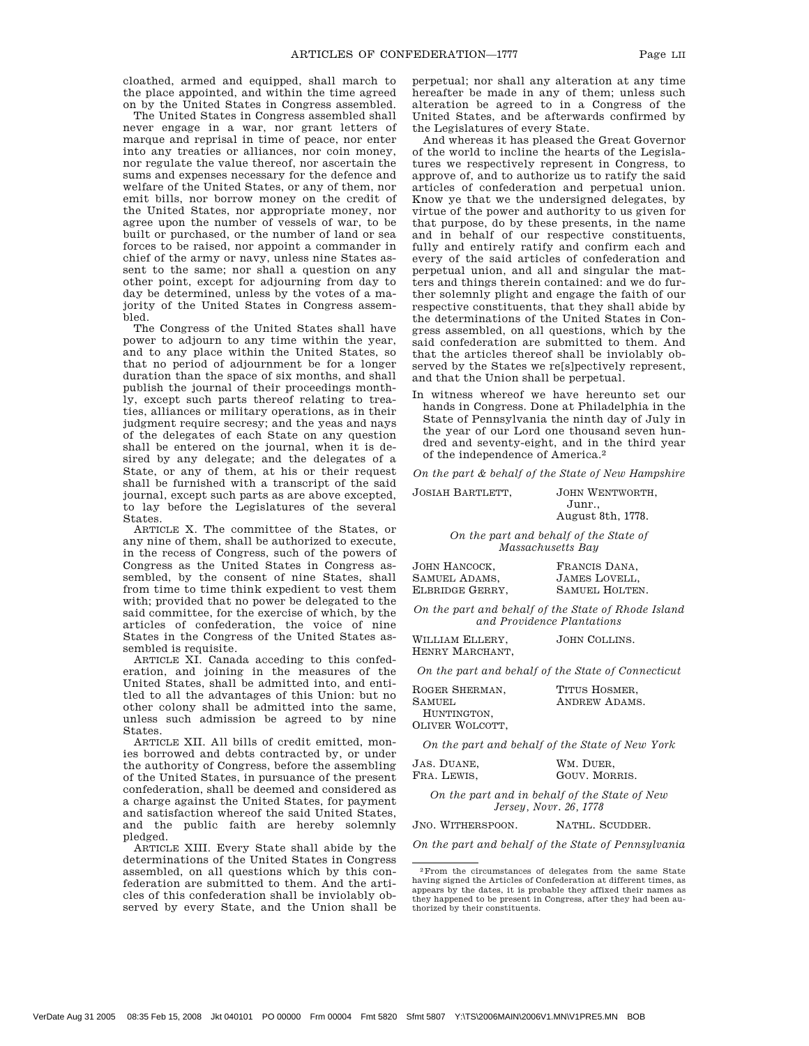cloathed, armed and equipped, shall march to the place appointed, and within the time agreed on by the United States in Congress assembled.

The United States in Congress assembled shall never engage in a war, nor grant letters of marque and reprisal in time of peace, nor enter into any treaties or alliances, nor coin money, nor regulate the value thereof, nor ascertain the sums and expenses necessary for the defence and welfare of the United States, or any of them, nor emit bills, nor borrow money on the credit of the United States, nor appropriate money, nor agree upon the number of vessels of war, to be built or purchased, or the number of land or sea forces to be raised, nor appoint a commander in chief of the army or navy, unless nine States assent to the same; nor shall a question on any other point, except for adjourning from day to day be determined, unless by the votes of a majority of the United States in Congress assembled.

The Congress of the United States shall have power to adjourn to any time within the year, and to any place within the United States, so that no period of adjournment be for a longer duration than the space of six months, and shall publish the journal of their proceedings monthly, except such parts thereof relating to treaties, alliances or military operations, as in their judgment require secresy; and the yeas and nays of the delegates of each State on any question shall be entered on the journal, when it is desired by any delegate; and the delegates of a State, or any of them, at his or their request shall be furnished with a transcript of the said journal, except such parts as are above excepted, to lay before the Legislatures of the several States.

ARTICLE X. The committee of the States, or any nine of them, shall be authorized to execute, in the recess of Congress, such of the powers of Congress as the United States in Congress assembled, by the consent of nine States, shall from time to time think expedient to vest them with; provided that no power be delegated to the said committee, for the exercise of which, by the articles of confederation, the voice of nine States in the Congress of the United States assembled is requisite.

ARTICLE XI. Canada acceding to this confederation, and joining in the measures of the United States, shall be admitted into, and entitled to all the advantages of this Union: but no other colony shall be admitted into the same, unless such admission be agreed to by nine States.

ARTICLE XII. All bills of credit emitted, monies borrowed and debts contracted by, or under the authority of Congress, before the assembling of the United States, in pursuance of the present confederation, shall be deemed and considered as a charge against the United States, for payment and satisfaction whereof the said United States, and the public faith are hereby solemnly pledged.

ARTICLE XIII. Every State shall abide by the determinations of the United States in Congress assembled, on all questions which by this confederation are submitted to them. And the articles of this confederation shall be inviolably observed by every State, and the Union shall be perpetual; nor shall any alteration at any time hereafter be made in any of them; unless such alteration be agreed to in a Congress of the United States, and be afterwards confirmed by the Legislatures of every State.

And whereas it has pleased the Great Governor of the world to incline the hearts of the Legislatures we respectively represent in Congress, to approve of, and to authorize us to ratify the said articles of confederation and perpetual union. Know ye that we the undersigned delegates, by virtue of the power and authority to us given for that purpose, do by these presents, in the name and in behalf of our respective constituents, fully and entirely ratify and confirm each and every of the said articles of confederation and perpetual union, and all and singular the matters and things therein contained: and we do further solemnly plight and engage the faith of our respective constituents, that they shall abide by the determinations of the United States in Congress assembled, on all questions, which by the said confederation are submitted to them. And that the articles thereof shall be inviolably observed by the States we re[s]pectively represent, and that the Union shall be perpetual.

In witness whereof we have hereunto set our hands in Congress. Done at Philadelphia in the State of Pennsylvania the ninth day of July in the year of our Lord one thousand seven hundred and seventy-eight, and in the third year of the independence of America.2

*On the part & behalf of the State of New Hampshire*

JOSIAH BARTLETT, JOHN WENTWORTH,

Junr., August 8th, 1778.

*On the part and behalf of the State of Massachusetts Bay*

| JOHN HANCOCK.   | FRANCIS DANA.        |
|-----------------|----------------------|
| SAMUEL ADAMS,   | <b>JAMES LOVELL.</b> |
| ELBRIDGE GERRY. | SAMUEL HOLTEN.       |

*On the part and behalf of the State of Rhode Island and Providence Plantations*

| WILLIAM ELLERY, | JOHN COLLINS. |
|-----------------|---------------|
| HENRY MARCHANT. |               |

*On the part and behalf of the State of Connecticut*

| ROGER SHERMAN.  | TITUS HOSMER. |  |
|-----------------|---------------|--|
| SAMUEL.         | ANDREW ADAMS. |  |
| HUNTINGTON.     |               |  |
| OLIVER WOLCOTT. |               |  |

*On the part and behalf of the State of New York*

| JAS. DUANE, | WM. DUER.     |
|-------------|---------------|
| FRA. LEWIS. | GOUV. MORRIS. |

*On the part and in behalf of the State of New Jersey, Novr. 26, 1778*

JNO. WITHERSPOON. NATHL. SCUDDER.

*On the part and behalf of the State of Pennsylvania*

<sup>2</sup>From the circumstances of delegates from the same State having signed the Articles of Confederation at different times, as appears by the dates, it is probable they affixed their names as they happened to be present in Congress, after they had been authorized by their constituents.